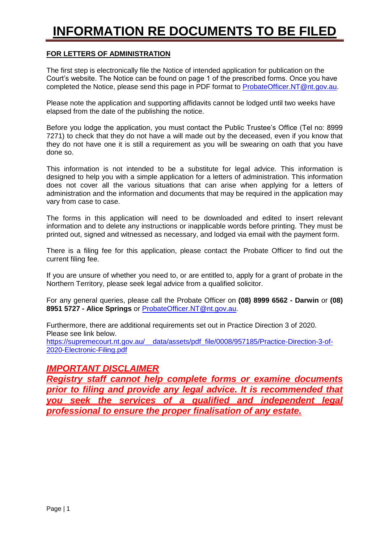# **INFORMATION RE DOCUMENTS TO BE FILED**

#### **FOR LETTERS OF ADMINISTRATION**

The first step is electronically file the Notice of intended application for publication on the Court's website. The Notice can be found on page 1 of the prescribed forms. Once you have completed the Notice, please send this page in PDF format to [ProbateOfficer.NT@nt.gov.au.](mailto:ProbateOfficer.NT@nt.gov.au)

Please note the application and supporting affidavits cannot be lodged until two weeks have elapsed from the date of the publishing the notice.

Before you lodge the application, you must contact the Public Trustee's Office (Tel no: 8999 7271) to check that they do not have a will made out by the deceased, even if you know that they do not have one it is still a requirement as you will be swearing on oath that you have done so.

This information is not intended to be a substitute for legal advice. This information is designed to help you with a simple application for a letters of administration. This information does not cover all the various situations that can arise when applying for a letters of administration and the information and documents that may be required in the application may vary from case to case.

The forms in this application will need to be downloaded and edited to insert relevant information and to delete any instructions or inapplicable words before printing. They must be printed out, signed and witnessed as necessary, and lodged via email with the payment form.

There is a filing fee for this application, please contact the Probate Officer to find out the current filing fee.

If you are unsure of whether you need to, or are entitled to, apply for a grant of probate in the Northern Territory, please seek legal advice from a qualified solicitor.

For any general queries, please call the Probate Officer on **(08) 8999 6562 - Darwin** or **(08) 8951 5727 - Alice Springs** or [ProbateOfficer.NT@nt.gov.au.](mailto:ProbateOfficer.NT@nt.gov.au)

Furthermore, there are additional requirements set out in Practice Direction 3 of 2020. Please see link below. [https://supremecourt.nt.gov.au/\\_\\_data/assets/pdf\\_file/0008/957185/Practice-Direction-3-of-](https://supremecourt.nt.gov.au/__data/assets/pdf_file/0008/957185/Practice-Direction-3-of-2020-Electronic-Filing.pdf)

[2020-Electronic-Filing.pdf](https://supremecourt.nt.gov.au/__data/assets/pdf_file/0008/957185/Practice-Direction-3-of-2020-Electronic-Filing.pdf)

# *IMPORTANT DISCLAIMER*

*Registry staff cannot help complete forms or examine documents prior to filing and provide any legal advice. It is recommended that you seek the services of a qualified and independent legal professional to ensure the proper finalisation of any estate.*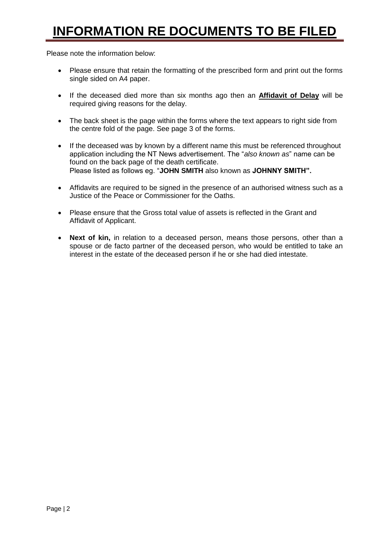# **INFORMATION RE DOCUMENTS TO BE FILED**

Please note the information below:

- Please ensure that retain the formatting of the prescribed form and print out the forms single sided on A4 paper.
- If the deceased died more than six months ago then an **Affidavit of Delay** will be required giving reasons for the delay.
- The back sheet is the page within the forms where the text appears to right side from the centre fold of the page. See page 3 of the forms.
- If the deceased was by known by a different name this must be referenced throughout application including the NT News advertisement. The "*also known as*" name can be found on the back page of the death certificate. Please listed as follows eg. "**JOHN SMITH** also known as **JOHNNY SMITH".**
- Affidavits are required to be signed in the presence of an authorised witness such as a Justice of the Peace or Commissioner for the Oaths.
- Please ensure that the Gross total value of assets is reflected in the Grant and Affidavit of Applicant.
- **Next of kin,** in relation to a deceased person, means those persons, other than a spouse or de facto partner of the deceased person, who would be entitled to take an interest in the estate of the deceased person if he or she had died intestate.